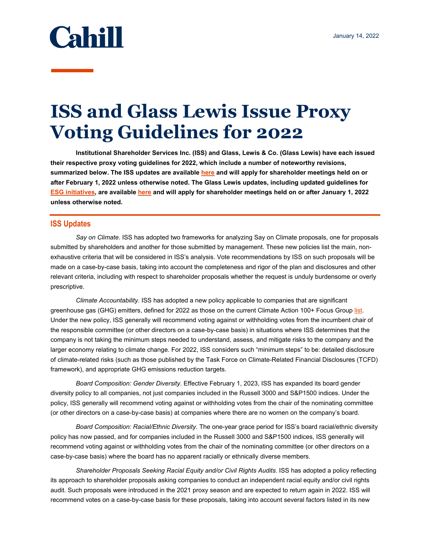

## **ISS and Glass Lewis Issue Proxy Voting Guidelines for 2022**

**Institutional Shareholder Services Inc. (ISS) and Glass, Lewis & Co. (Glass Lewis) have each issued their respective proxy voting guidelines for 2022, which include a number of noteworthy revisions, summarized below. The ISS updates are available [here](https://www.issgovernance.com/file/policy/latest/updates/Americas-Policy-Updates.pdf) and will apply for shareholder meetings held on or after February 1, 2022 unless otherwise noted. The Glass Lewis updates, including updated guidelines for [ESG initiatives,](https://www.glasslewis.com/wp-content/uploads/2021/11/ESG-Initiatives-Voting-Guidelines-GL-2022.pdf?hsCtaTracking=d28a1c26-4a61-4016-9ffc-e8ce41aed566%7C4a19a845-0d06-49ba-8865-ed44c585ab54) are available [here](https://www.glasslewis.com/wp-content/uploads/2021/11/US-Voting-Guidelines-US-GL-2022.pdf?hsCtaTracking=257fcf1c-f11e-4835-81a3-d13fbc7b1f4c%7C1dad2378-213f-45f6-8509-788274627609) and will apply for shareholder meetings held on or after January 1, 2022 unless otherwise noted.** 

## **ISS Updates**

*Say on Climate*. ISS has adopted two frameworks for analyzing Say on Climate proposals, one for proposals submitted by shareholders and another for those submitted by management. These new policies list the main, nonexhaustive criteria that will be considered in ISS's analysis. Vote recommendations by ISS on such proposals will be made on a case-by-case basis, taking into account the completeness and rigor of the plan and disclosures and other relevant criteria, including with respect to shareholder proposals whether the request is unduly burdensome or overly prescriptive.

*Climate Accountability*. ISS has adopted a new policy applicable to companies that are significant greenhouse gas (GHG) emitters, defined for 2022 as those on the current Climate Action 100+ Focus Group [list.](https://www.climateaction100.org/whos-involved/companies/) Under the new policy, ISS generally will recommend voting against or withholding votes from the incumbent chair of the responsible committee (or other directors on a case-by-case basis) in situations where ISS determines that the company is not taking the minimum steps needed to understand, assess, and mitigate risks to the company and the larger economy relating to climate change. For 2022, ISS considers such "minimum steps" to be: detailed disclosure of climate-related risks (such as those published by the Task Force on Climate-Related Financial Disclosures (TCFD) framework), and appropriate GHG emissions reduction targets.

*Board Composition: Gender Diversity*. Effective February 1, 2023, ISS has expanded its board gender diversity policy to all companies, not just companies included in the Russell 3000 and S&P1500 indices. Under the policy, ISS generally will recommend voting against or withholding votes from the chair of the nominating committee (or other directors on a case-by-case basis) at companies where there are no women on the company's board.

*Board Composition: Racial/Ethnic Diversity*. The one-year grace period for ISS's board racial/ethnic diversity policy has now passed, and for companies included in the Russell 3000 and S&P1500 indices, ISS generally will recommend voting against or withholding votes from the chair of the nominating committee (or other directors on a case-by-case basis) where the board has no apparent racially or ethnically diverse members.

*Shareholder Proposals Seeking Racial Equity and/or Civil Rights Audits*. ISS has adopted a policy reflecting its approach to shareholder proposals asking companies to conduct an independent racial equity and/or civil rights audit. Such proposals were introduced in the 2021 proxy season and are expected to return again in 2022. ISS will recommend votes on a case-by-case basis for these proposals, taking into account several factors listed in its new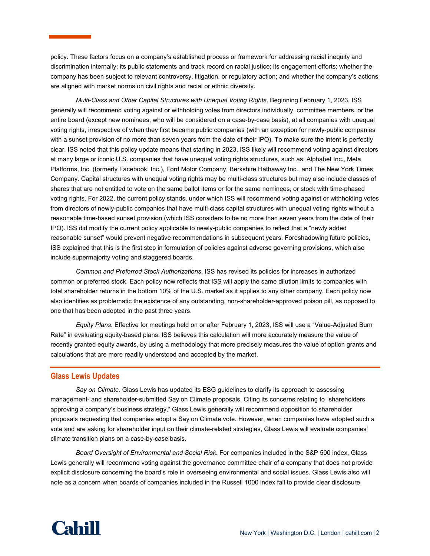policy. These factors focus on a company's established process or framework for addressing racial inequity and discrimination internally; its public statements and track record on racial justice; its engagement efforts; whether the company has been subject to relevant controversy, litigation, or regulatory action; and whether the company's actions are aligned with market norms on civil rights and racial or ethnic diversity.

*Multi-Class and Other Capital Structures with Unequal Voting Rights*. Beginning February 1, 2023, ISS generally will recommend voting against or withholding votes from directors individually, committee members, or the entire board (except new nominees, who will be considered on a case-by-case basis), at all companies with unequal voting rights, irrespective of when they first became public companies (with an exception for newly-public companies with a sunset provision of no more than seven years from the date of their IPO). To make sure the intent is perfectly clear, ISS noted that this policy update means that starting in 2023, ISS likely will recommend voting against directors at many large or iconic U.S. companies that have unequal voting rights structures, such as: Alphabet Inc., Meta Platforms, Inc. (formerly Facebook, Inc.), Ford Motor Company, Berkshire Hathaway Inc., and The New York Times Company. Capital structures with unequal voting rights may be multi-class structures but may also include classes of shares that are not entitled to vote on the same ballot items or for the same nominees, or stock with time-phased voting rights. For 2022, the current policy stands, under which ISS will recommend voting against or withholding votes from directors of newly-public companies that have multi-class capital structures with unequal voting rights without a reasonable time-based sunset provision (which ISS considers to be no more than seven years from the date of their IPO). ISS did modify the current policy applicable to newly-public companies to reflect that a "newly added reasonable sunset" would prevent negative recommendations in subsequent years. Foreshadowing future policies, ISS explained that this is the first step in formulation of policies against adverse governing provisions, which also include supermajority voting and staggered boards.

*Common and Preferred Stock Authorizations*. ISS has revised its policies for increases in authorized common or preferred stock. Each policy now reflects that ISS will apply the same dilution limits to companies with total shareholder returns in the bottom 10% of the U.S. market as it applies to any other company. Each policy now also identifies as problematic the existence of any outstanding, non-shareholder-approved poison pill, as opposed to one that has been adopted in the past three years.

*Equity Plans*. Effective for meetings held on or after February 1, 2023, ISS will use a "Value-Adjusted Burn Rate" in evaluating equity-based plans. ISS believes this calculation will more accurately measure the value of recently granted equity awards, by using a methodology that more precisely measures the value of option grants and calculations that are more readily understood and accepted by the market.

## **Glass Lewis Updates**

*Say on Climate*. Glass Lewis has updated its ESG guidelines to clarify its approach to assessing management- and shareholder-submitted Say on Climate proposals. Citing its concerns relating to "shareholders approving a company's business strategy," Glass Lewis generally will recommend opposition to shareholder proposals requesting that companies adopt a Say on Climate vote. However, when companies have adopted such a vote and are asking for shareholder input on their climate-related strategies, Glass Lewis will evaluate companies' climate transition plans on a case-by-case basis.

*Board Oversight of Environmental and Social Risk*. For companies included in the S&P 500 index, Glass Lewis generally will recommend voting against the governance committee chair of a company that does not provide explicit disclosure concerning the board's role in overseeing environmental and social issues. Glass Lewis also will note as a concern when boards of companies included in the Russell 1000 index fail to provide clear disclosure

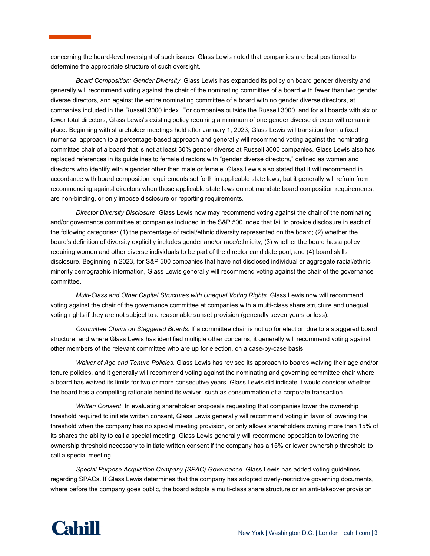concerning the board-level oversight of such issues. Glass Lewis noted that companies are best positioned to determine the appropriate structure of such oversight.

*Board Composition: Gender Diversity*. Glass Lewis has expanded its policy on board gender diversity and generally will recommend voting against the chair of the nominating committee of a board with fewer than two gender diverse directors, and against the entire nominating committee of a board with no gender diverse directors, at companies included in the Russell 3000 index. For companies outside the Russell 3000, and for all boards with six or fewer total directors, Glass Lewis's existing policy requiring a minimum of one gender diverse director will remain in place. Beginning with shareholder meetings held after January 1, 2023, Glass Lewis will transition from a fixed numerical approach to a percentage-based approach and generally will recommend voting against the nominating committee chair of a board that is not at least 30% gender diverse at Russell 3000 companies. Glass Lewis also has replaced references in its guidelines to female directors with "gender diverse directors," defined as women and directors who identify with a gender other than male or female. Glass Lewis also stated that it will recommend in accordance with board composition requirements set forth in applicable state laws, but it generally will refrain from recommending against directors when those applicable state laws do not mandate board composition requirements, are non-binding, or only impose disclosure or reporting requirements.

*Director Diversity Disclosure*. Glass Lewis now may recommend voting against the chair of the nominating and/or governance committee at companies included in the S&P 500 index that fail to provide disclosure in each of the following categories: (1) the percentage of racial/ethnic diversity represented on the board; (2) whether the board's definition of diversity explicitly includes gender and/or race/ethnicity; (3) whether the board has a policy requiring women and other diverse individuals to be part of the director candidate pool; and (4) board skills disclosure. Beginning in 2023, for S&P 500 companies that have not disclosed individual or aggregate racial/ethnic minority demographic information, Glass Lewis generally will recommend voting against the chair of the governance committee.

*Multi-Class and Other Capital Structures with Unequal Voting Rights*. Glass Lewis now will recommend voting against the chair of the governance committee at companies with a multi-class share structure and unequal voting rights if they are not subject to a reasonable sunset provision (generally seven years or less).

*Committee Chairs on Staggered Boards*. If a committee chair is not up for election due to a staggered board structure, and where Glass Lewis has identified multiple other concerns, it generally will recommend voting against other members of the relevant committee who are up for election, on a case-by-case basis.

*Waiver of Age and Tenure Policies*. Glass Lewis has revised its approach to boards waiving their age and/or tenure policies, and it generally will recommend voting against the nominating and governing committee chair where a board has waived its limits for two or more consecutive years. Glass Lewis did indicate it would consider whether the board has a compelling rationale behind its waiver, such as consummation of a corporate transaction.

*Written Consent*. In evaluating shareholder proposals requesting that companies lower the ownership threshold required to initiate written consent, Glass Lewis generally will recommend voting in favor of lowering the threshold when the company has no special meeting provision, or only allows shareholders owning more than 15% of its shares the ability to call a special meeting. Glass Lewis generally will recommend opposition to lowering the ownership threshold necessary to initiate written consent if the company has a 15% or lower ownership threshold to call a special meeting.

*Special Purpose Acquisition Company (SPAC) Governance*. Glass Lewis has added voting guidelines regarding SPACs. If Glass Lewis determines that the company has adopted overly-restrictive governing documents, where before the company goes public, the board adopts a multi-class share structure or an anti-takeover provision